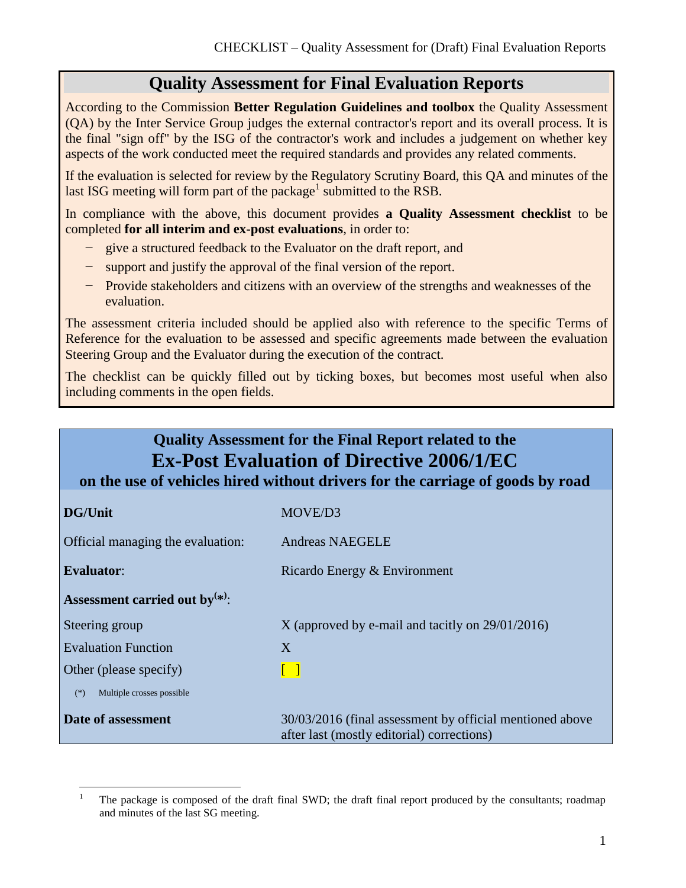## **Quality Assessment for Final Evaluation Reports**

According to the Commission **Better Regulation Guidelines and toolbox** the Quality Assessment (QA) by the Inter Service Group judges the external contractor's report and its overall process. It is the final "sign off" by the ISG of the contractor's work and includes a judgement on whether key aspects of the work conducted meet the required standards and provides any related comments.

If the evaluation is selected for review by the Regulatory Scrutiny Board, this QA and minutes of the last ISG meeting will form part of the package<sup>1</sup> submitted to the RSB.

In compliance with the above, this document provides **a Quality Assessment checklist** to be completed **for all interim and ex-post evaluations**, in order to:

- − give a structured feedback to the Evaluator on the draft report, and
- − support and justify the approval of the final version of the report.
- − Provide stakeholders and citizens with an overview of the strengths and weaknesses of the evaluation.

The assessment criteria included should be applied also with reference to the specific Terms of Reference for the evaluation to be assessed and specific agreements made between the evaluation Steering Group and the Evaluator during the execution of the contract.

The checklist can be quickly filled out by ticking boxes, but becomes most useful when also including comments in the open fields.

## **Quality Assessment for the Final Report related to the Ex-Post Evaluation of Directive 2006/1/EC**

| on the use of vehicles hired without drivers for the carriage of goods by road |  |  |  |
|--------------------------------------------------------------------------------|--|--|--|
|                                                                                |  |  |  |

| <b>DG/Unit</b>                     | MOVE/D3                                                                                                |
|------------------------------------|--------------------------------------------------------------------------------------------------------|
| Official managing the evaluation:  | <b>Andreas NAEGELE</b>                                                                                 |
| <b>Evaluator:</b>                  | Ricardo Energy & Environment                                                                           |
| Assessment carried out by $(*)$ :  |                                                                                                        |
| Steering group                     | $X$ (approved by e-mail and tacitly on $29/01/2016$ )                                                  |
| <b>Evaluation Function</b>         | X                                                                                                      |
| Other (please specify)             | $\begin{array}{c} \begin{array}{c} \end{array} \end{array}$                                            |
| Multiple crosses possible<br>$(*)$ |                                                                                                        |
| Date of assessment                 | 30/03/2016 (final assessment by official mentioned above<br>after last (mostly editorial) corrections) |

 $\overline{a}$ 

<sup>1</sup> The package is composed of the draft final SWD; the draft final report produced by the consultants; roadmap and minutes of the last SG meeting.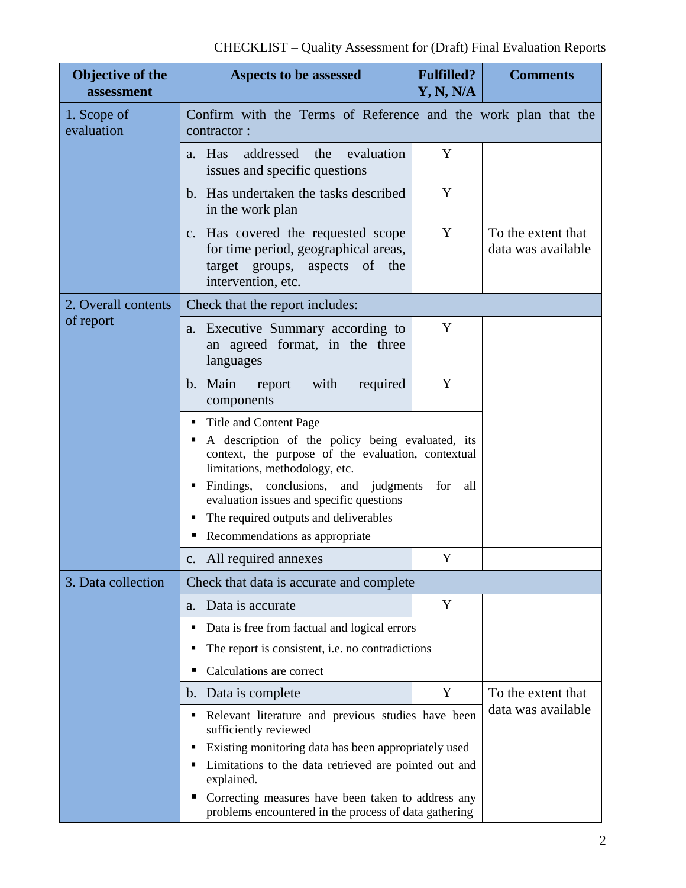| Objective of the<br>assessment | <b>Aspects to be assessed</b>                                                                                                                 | <b>Fulfilled?</b><br>Y, N, N/A | <b>Comments</b>                          |  |
|--------------------------------|-----------------------------------------------------------------------------------------------------------------------------------------------|--------------------------------|------------------------------------------|--|
| 1. Scope of<br>evaluation      | Confirm with the Terms of Reference and the work plan that the<br>contractor:                                                                 |                                |                                          |  |
|                                | evaluation<br>a. Has<br>addressed the<br>issues and specific questions                                                                        | Y                              |                                          |  |
|                                | b. Has undertaken the tasks described<br>in the work plan                                                                                     | Y                              |                                          |  |
|                                | c. Has covered the requested scope<br>for time period, geographical areas,<br>target groups, aspects of the<br>intervention, etc.             | Y                              | To the extent that<br>data was available |  |
| 2. Overall contents            | Check that the report includes:                                                                                                               |                                |                                          |  |
| of report                      | Executive Summary according to<br>a.<br>an agreed format, in the three<br>languages                                                           | Y                              |                                          |  |
|                                | b. Main<br>with<br>required<br>report<br>components                                                                                           | Y                              |                                          |  |
|                                | <b>Title and Content Page</b><br>٠                                                                                                            |                                |                                          |  |
|                                | A description of the policy being evaluated, its<br>٠<br>context, the purpose of the evaluation, contextual<br>limitations, methodology, etc. |                                |                                          |  |
|                                | Findings, conclusions, and judgments<br>for<br>all<br>٠<br>evaluation issues and specific questions                                           |                                |                                          |  |
|                                | The required outputs and deliverables<br>ш                                                                                                    |                                |                                          |  |
|                                | Recommendations as appropriate<br>Ξ                                                                                                           |                                |                                          |  |
|                                | c. All required annexes                                                                                                                       | Y                              |                                          |  |
| 3. Data collection             | Check that data is accurate and complete                                                                                                      |                                |                                          |  |
|                                | Data is accurate<br>a.                                                                                                                        | Y                              |                                          |  |
|                                | Data is free from factual and logical errors<br>п                                                                                             |                                |                                          |  |
|                                | The report is consistent, i.e. no contradictions<br>п                                                                                         |                                |                                          |  |
|                                | Calculations are correct<br>п                                                                                                                 |                                |                                          |  |
|                                | Data is complete<br>$b_{\cdot}$                                                                                                               | Y                              | To the extent that                       |  |
|                                | Relevant literature and previous studies have been<br>п<br>sufficiently reviewed                                                              | data was available             |                                          |  |
|                                | Existing monitoring data has been appropriately used<br>٠                                                                                     |                                |                                          |  |
|                                | Limitations to the data retrieved are pointed out and<br>п<br>explained.                                                                      |                                |                                          |  |
|                                | Correcting measures have been taken to address any<br>problems encountered in the process of data gathering                                   |                                |                                          |  |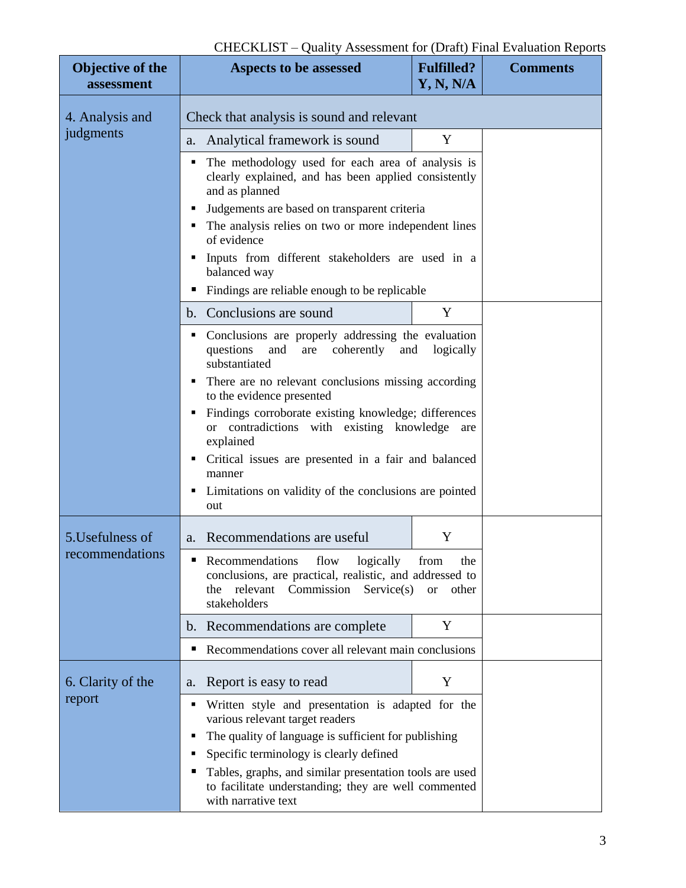| Objective of the<br>assessment | Aspects to be assessed                                                                                                                                         | <b>Fulfilled?</b><br>Y, N, N/A                                                                                                                                                                                                                                                                                                                                                                                                | <b>Comments</b> |  |
|--------------------------------|----------------------------------------------------------------------------------------------------------------------------------------------------------------|-------------------------------------------------------------------------------------------------------------------------------------------------------------------------------------------------------------------------------------------------------------------------------------------------------------------------------------------------------------------------------------------------------------------------------|-----------------|--|
| 4. Analysis and                | Check that analysis is sound and relevant                                                                                                                      |                                                                                                                                                                                                                                                                                                                                                                                                                               |                 |  |
| judgments                      | Analytical framework is sound<br>a.                                                                                                                            | Y                                                                                                                                                                                                                                                                                                                                                                                                                             |                 |  |
|                                | п<br>and as planned                                                                                                                                            | The methodology used for each area of analysis is<br>clearly explained, and has been applied consistently                                                                                                                                                                                                                                                                                                                     |                 |  |
|                                | Judgements are based on transparent criteria<br>٠                                                                                                              |                                                                                                                                                                                                                                                                                                                                                                                                                               |                 |  |
|                                | The analysis relies on two or more independent lines<br>٠<br>of evidence                                                                                       |                                                                                                                                                                                                                                                                                                                                                                                                                               |                 |  |
|                                | Inputs from different stakeholders are used in a<br>٠<br>balanced way                                                                                          |                                                                                                                                                                                                                                                                                                                                                                                                                               |                 |  |
|                                | Findings are reliable enough to be replicable                                                                                                                  |                                                                                                                                                                                                                                                                                                                                                                                                                               |                 |  |
|                                | b. Conclusions are sound                                                                                                                                       | Y                                                                                                                                                                                                                                                                                                                                                                                                                             |                 |  |
|                                | ٠<br>questions<br>and<br>coherently<br>are<br>substantiated                                                                                                    | Conclusions are properly addressing the evaluation<br>logically<br>and<br>There are no relevant conclusions missing according<br>to the evidence presented<br>Findings corroborate existing knowledge; differences<br>contradictions with existing knowledge<br><sub>or</sub><br>are<br>explained<br>Critical issues are presented in a fair and balanced<br>manner<br>Limitations on validity of the conclusions are pointed |                 |  |
|                                | ٠                                                                                                                                                              |                                                                                                                                                                                                                                                                                                                                                                                                                               |                 |  |
|                                | ٠                                                                                                                                                              |                                                                                                                                                                                                                                                                                                                                                                                                                               |                 |  |
|                                | ٠<br>٠                                                                                                                                                         |                                                                                                                                                                                                                                                                                                                                                                                                                               |                 |  |
|                                | out                                                                                                                                                            |                                                                                                                                                                                                                                                                                                                                                                                                                               |                 |  |
| 5. Usefulness of               | Recommendations are useful<br>a.                                                                                                                               | Y                                                                                                                                                                                                                                                                                                                                                                                                                             |                 |  |
| recommendations                | Recommendations<br>flow<br>logically<br>conclusions, are practical, realistic, and addressed to<br>relevant<br>Commission<br>Service(s)<br>the<br>stakeholders | from<br>the<br><b>or</b><br>other                                                                                                                                                                                                                                                                                                                                                                                             |                 |  |
|                                | b. Recommendations are complete                                                                                                                                | Y                                                                                                                                                                                                                                                                                                                                                                                                                             |                 |  |
|                                | Recommendations cover all relevant main conclusions<br>п                                                                                                       |                                                                                                                                                                                                                                                                                                                                                                                                                               |                 |  |
| 6. Clarity of the              | Report is easy to read<br>a.                                                                                                                                   | Y                                                                                                                                                                                                                                                                                                                                                                                                                             |                 |  |
| report                         | Written style and presentation is adapted for the<br>٠<br>various relevant target readers                                                                      |                                                                                                                                                                                                                                                                                                                                                                                                                               |                 |  |
|                                | The quality of language is sufficient for publishing<br>٠                                                                                                      |                                                                                                                                                                                                                                                                                                                                                                                                                               |                 |  |
|                                | Specific terminology is clearly defined<br>п                                                                                                                   |                                                                                                                                                                                                                                                                                                                                                                                                                               |                 |  |
|                                | Tables, graphs, and similar presentation tools are used<br>ш<br>to facilitate understanding; they are well commented<br>with narrative text                    |                                                                                                                                                                                                                                                                                                                                                                                                                               |                 |  |